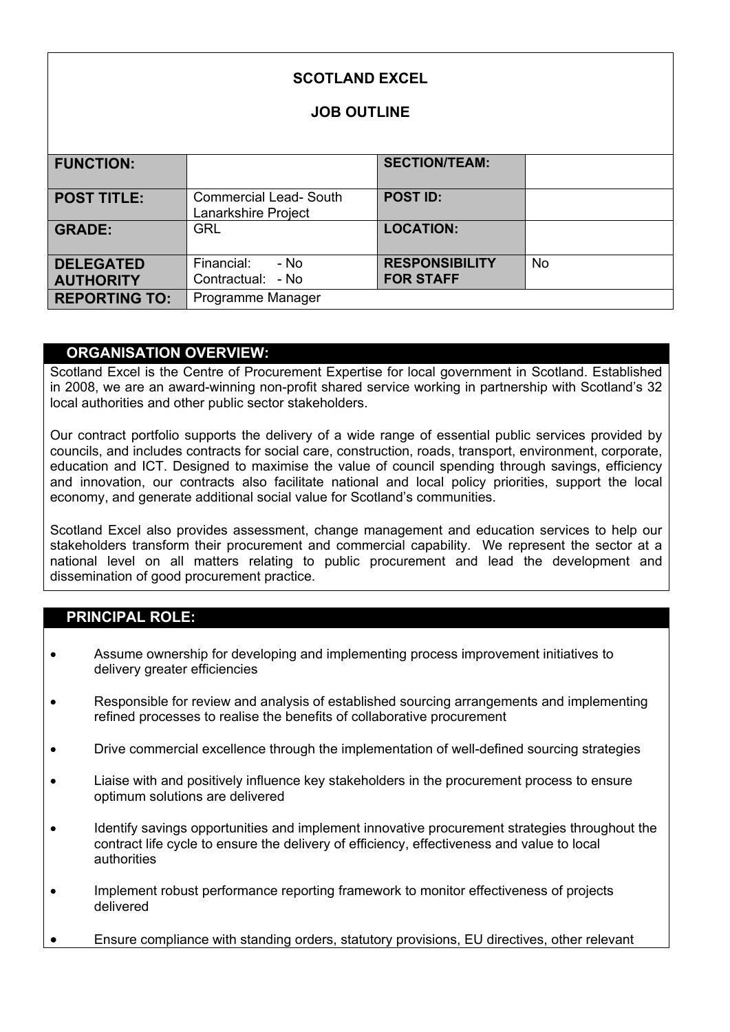| <b>SCOTLAND EXCEL</b><br><b>JOB OUTLINE</b> |                                                      |                                           |           |
|---------------------------------------------|------------------------------------------------------|-------------------------------------------|-----------|
| <b>FUNCTION:</b>                            |                                                      | <b>SECTION/TEAM:</b>                      |           |
| <b>POST TITLE:</b>                          | <b>Commercial Lead- South</b><br>Lanarkshire Project | <b>POST ID:</b>                           |           |
| <b>GRADE:</b>                               | <b>GRL</b>                                           | <b>LOCATION:</b>                          |           |
| <b>DELEGATED</b><br><b>AUTHORITY</b>        | Financial:<br>- No<br>Contractual: - No              | <b>RESPONSIBILITY</b><br><b>FOR STAFF</b> | <b>No</b> |
| <b>REPORTING TO:</b>                        | Programme Manager                                    |                                           |           |

## **ORGANISATION OVERVIEW:**

Scotland Excel is the Centre of Procurement Expertise for local government in Scotland. Established in 2008, we are an award-winning non-profit shared service working in partnership with Scotland's 32 local authorities and other public sector stakeholders.

Our contract portfolio supports the delivery of a wide range of essential public services provided by councils, and includes contracts for social care, construction, roads, transport, environment, corporate, education and ICT. Designed to maximise the value of council spending through savings, efficiency and innovation, our contracts also facilitate national and local policy priorities, support the local economy, and generate additional social value for Scotland's communities.

Scotland Excel also provides assessment, change management and education services to help our stakeholders transform their procurement and commercial capability. We represent the sector at a national level on all matters relating to public procurement and lead the development and dissemination of good procurement practice.

## **PRINCIPAL ROLE:**

- Assume ownership for developing and implementing process improvement initiatives to delivery greater efficiencies
- Responsible for review and analysis of established sourcing arrangements and implementing refined processes to realise the benefits of collaborative procurement
- Drive commercial excellence through the implementation of well-defined sourcing strategies
- Liaise with and positively influence key stakeholders in the procurement process to ensure optimum solutions are delivered
- Identify savings opportunities and implement innovative procurement strategies throughout the contract life cycle to ensure the delivery of efficiency, effectiveness and value to local authorities
- Implement robust performance reporting framework to monitor effectiveness of projects delivered
- Ensure compliance with standing orders, statutory provisions, EU directives, other relevant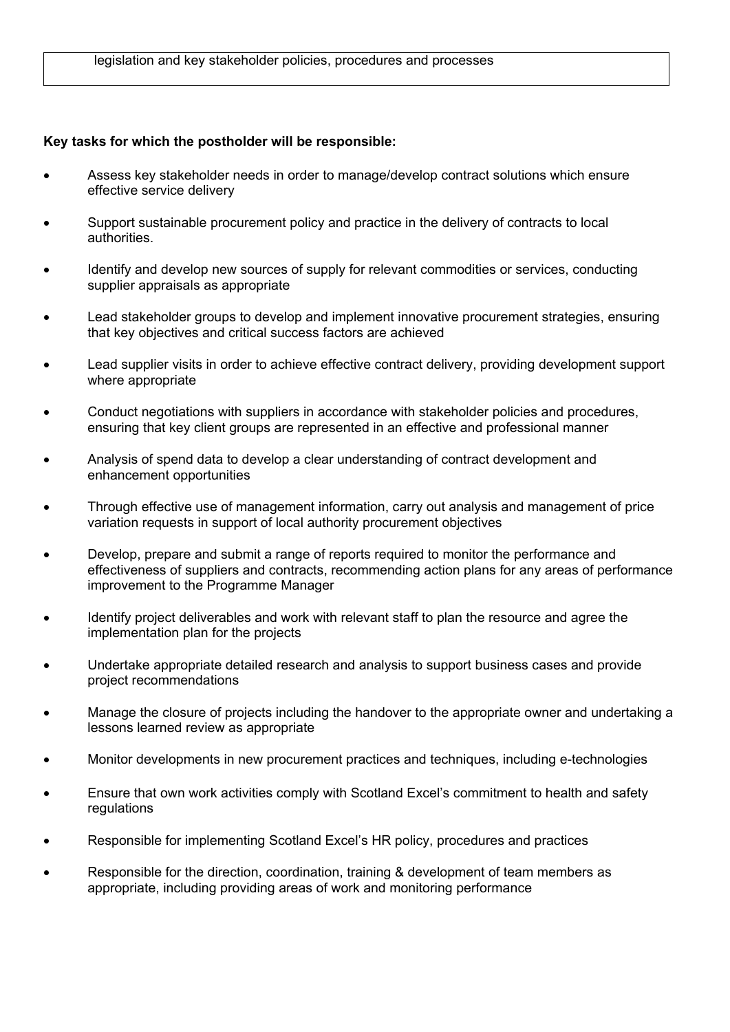## **Key tasks for which the postholder will be responsible:**

- Assess key stakeholder needs in order to manage/develop contract solutions which ensure effective service delivery
- Support sustainable procurement policy and practice in the delivery of contracts to local authorities.
- Identify and develop new sources of supply for relevant commodities or services, conducting supplier appraisals as appropriate
- Lead stakeholder groups to develop and implement innovative procurement strategies, ensuring that key objectives and critical success factors are achieved
- Lead supplier visits in order to achieve effective contract delivery, providing development support where appropriate
- Conduct negotiations with suppliers in accordance with stakeholder policies and procedures, ensuring that key client groups are represented in an effective and professional manner
- Analysis of spend data to develop a clear understanding of contract development and enhancement opportunities
- Through effective use of management information, carry out analysis and management of price variation requests in support of local authority procurement objectives
- Develop, prepare and submit a range of reports required to monitor the performance and effectiveness of suppliers and contracts, recommending action plans for any areas of performance improvement to the Programme Manager
- Identify project deliverables and work with relevant staff to plan the resource and agree the implementation plan for the projects
- Undertake appropriate detailed research and analysis to support business cases and provide project recommendations
- Manage the closure of projects including the handover to the appropriate owner and undertaking a lessons learned review as appropriate
- Monitor developments in new procurement practices and techniques, including e-technologies
- Ensure that own work activities comply with Scotland Excel's commitment to health and safety regulations
- Responsible for implementing Scotland Excel's HR policy, procedures and practices
- Responsible for the direction, coordination, training & development of team members as appropriate, including providing areas of work and monitoring performance